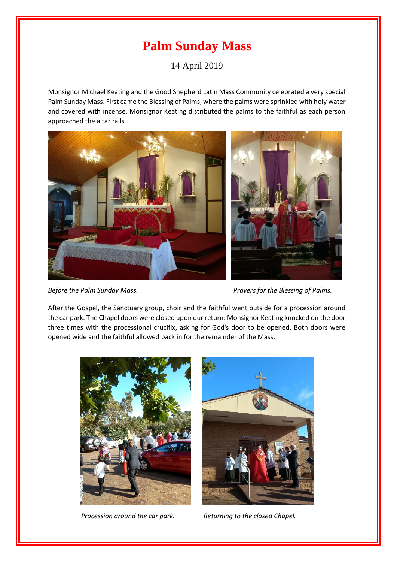## **Palm Sunday Mass**

14 April 2019

Monsignor Michael Keating and the Good Shepherd Latin Mass Community celebrated a very special Palm Sunday Mass. First came the Blessing of Palms, where the palms were sprinkled with holy water and covered with incense. Monsignor Keating distributed the palms to the faithful as each person approached the altar rails.



*Before the Palm Sunday Mass. Prayers for the Blessing of Palms.* 

After the Gospel, the Sanctuary group, choir and the faithful went outside for a procession around the car park. The Chapel doors were closed upon our return: Monsignor Keating knocked on the door three times with the processional crucifix, asking for God's door to be opened. Both doors were opened wide and the faithful allowed back in for the remainder of the Mass.





*Procession around the car park.* Returning to the closed Chapel.